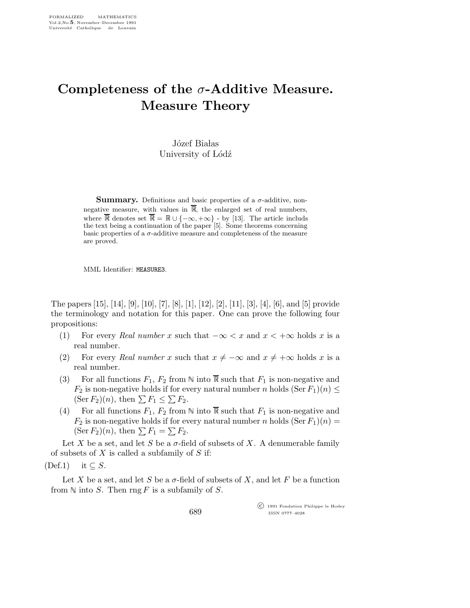## Completeness of the  $\sigma$ -Additive Measure. Measure Theory

Józef Białas University of Lódź

**Summary.** Definitions and basic properties of a  $\sigma$ -additive, nonnegative measure, with values in  $\overline{\mathbb{R}}$ , the enlarged set of real numbers, where  $\overline{\mathbb{R}}$  denotes set  $\overline{\mathbb{R}} = \mathbb{R} \cup \{-\infty, +\infty\}$  - by [13]. The article includs the text being a continuation of the paper [5]. Some theorems concerning basic properties of a  $\sigma$ -additive measure and completeness of the measure are proved.

MML Identifier: MEASURE3.

The papers [15], [14], [9], [10], [7], [8], [1], [12], [2], [11], [3], [4], [6], and [5] provide the terminology and notation for this paper. One can prove the following four propositions:

- (1) For every Real number x such that  $-\infty < x$  and  $x < +\infty$  holds x is a real number.
- (2) For every Real number x such that  $x \neq -\infty$  and  $x \neq +\infty$  holds x is a real number.
- (3) For all functions  $F_1, F_2$  from  $\mathbb N$  into  $\overline{\mathbb R}$  such that  $F_1$  is non-negative and  $F_2$  is non-negative holds if for every natural number n holds  $(\text{Ser } F_1)(n) \leq$  $(\text{Ser } F_2)(n)$ , then  $\sum F_1 \leq \sum F_2$ .
- (4) For all functions  $F_1, F_2$  from  $\mathbb N$  into  $\overline{\mathbb R}$  such that  $F_1$  is non-negative and  $F_2$  is non-negative holds if for every natural number n holds  $(\text{Ser } F_1)(n) =$  $(\text{Ser } F_2)(n)$ , then  $\sum F_1 = \sum F_2$ .

Let X be a set, and let S be a  $\sigma$ -field of subsets of X. A denumerable family of subsets of  $X$  is called a subfamily of  $S$  if:

 $(Def.1)$  it  $\subseteq S$ .

Let X be a set, and let S be a  $\sigma$ -field of subsets of X, and let F be a function from  $\mathbb N$  into S. Then rng F is a subfamily of S.

> c 1991 Fondation Philippe le Hodey ISSN 0777–4028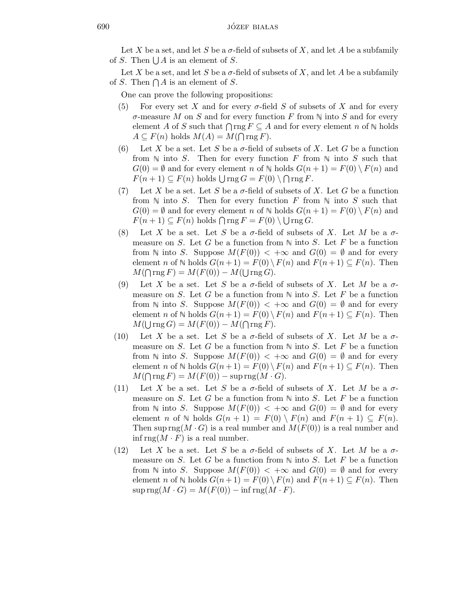Let X be a set, and let S be a  $\sigma$ -field of subsets of X, and let A be a subfamily of S. Then  $\bigcup A$  is an element of S.

Let X be a set, and let S be a  $\sigma$ -field of subsets of X, and let A be a subfamily of S. Then  $\bigcap A$  is an element of S.

One can prove the following propositions:

- (5) For every set X and for every  $\sigma$ -field S of subsets of X and for every  $\sigma$ -measure M on S and for every function F from  $\mathbb N$  into S and for every element A of S such that  $\bigcap \text{rng } F \subseteq A$  and for every element n of  $\mathbb N$  holds  $A \subseteq F(n)$  holds  $M(A) = M(\bigcap \text{rng } F).$
- (6) Let X be a set. Let S be a  $\sigma$ -field of subsets of X. Let G be a function from  $\mathbb N$  into S. Then for every function F from  $\mathbb N$  into S such that  $G(0) = \emptyset$  and for every element n of  $\mathbb N$  holds  $G(n+1) = F(0) \setminus F(n)$  and  $F(n+1) \subseteq F(n)$  holds  $\bigcup \text{rng } G = F(0) \setminus \bigcap \text{rng } F.$
- (7) Let X be a set. Let S be a  $\sigma$ -field of subsets of X. Let G be a function from  $\mathbb N$  into S. Then for every function F from  $\mathbb N$  into S such that  $G(0) = \emptyset$  and for every element n of  $\mathbb N$  holds  $G(n+1) = F(0) \setminus F(n)$  and  $F(n+1) \subseteq F(n)$  holds  $\bigcap \text{rng } F = F(0) \setminus \bigcup \text{rng } G.$
- (8) Let X be a set. Let S be a  $\sigma$ -field of subsets of X. Let M be a  $\sigma$ measure on S. Let G be a function from  $\mathbb N$  into S. Let F be a function from N into S. Suppose  $M(F(0)) < +\infty$  and  $G(0) = \emptyset$  and for every element n of  $\mathbb N$  holds  $G(n+1) = F(0) \setminus F(n)$  and  $F(n+1) \subseteq F(n)$ . Then  $M(\bigcap \text{rng } F) = M(F(0)) - M(\bigcup \text{rng } G).$
- (9) Let X be a set. Let S be a  $\sigma$ -field of subsets of X. Let M be a  $\sigma$ measure on S. Let G be a function from  $\mathbb N$  into S. Let F be a function from N into S. Suppose  $M(F(0)) < +\infty$  and  $G(0) = \emptyset$  and for every element n of  $\mathbb N$  holds  $G(n+1) = F(0) \setminus F(n)$  and  $F(n+1) \subseteq F(n)$ . Then  $M(\bigcup \text{rng }G) = M(F(0)) - M(\bigcap \text{rng }F).$
- (10) Let X be a set. Let S be a  $\sigma$ -field of subsets of X. Let M be a  $\sigma$ measure on S. Let G be a function from  $\mathbb N$  into S. Let F be a function from  $\mathbb N$  into S. Suppose  $M(F(0)) < +\infty$  and  $G(0) = \emptyset$  and for every element n of  $\mathbb N$  holds  $G(n+1) = F(0) \setminus F(n)$  and  $F(n+1) \subseteq F(n)$ . Then  $M(\bigcap \text{rng } F) = M(F(0)) - \text{sup }\text{rng}(M \cdot G).$
- (11) Let X be a set. Let S be a  $\sigma$ -field of subsets of X. Let M be a  $\sigma$ measure on S. Let G be a function from  $\mathbb N$  into S. Let F be a function from N into S. Suppose  $M(F(0)) < +\infty$  and  $G(0) = \emptyset$  and for every element n of  $\mathbb N$  holds  $G(n + 1) = F(0) \setminus F(n)$  and  $F(n + 1) \subseteq F(n)$ . Then sup rng( $M \cdot G$ ) is a real number and  $M(F(0))$  is a real number and inf rng $(M \cdot F)$  is a real number.
- (12) Let X be a set. Let S be a  $\sigma$ -field of subsets of X. Let M be a  $\sigma$ measure on S. Let G be a function from  $\mathbb N$  into S. Let F be a function from N into S. Suppose  $M(F(0)) < +\infty$  and  $G(0) = \emptyset$  and for every element n of  $\mathbb N$  holds  $G(n+1) = F(0) \setminus F(n)$  and  $F(n+1) \subseteq F(n)$ . Then  $\sup \text{rng}(M \cdot G) = M(F(0)) - \inf \text{rng}(M \cdot F).$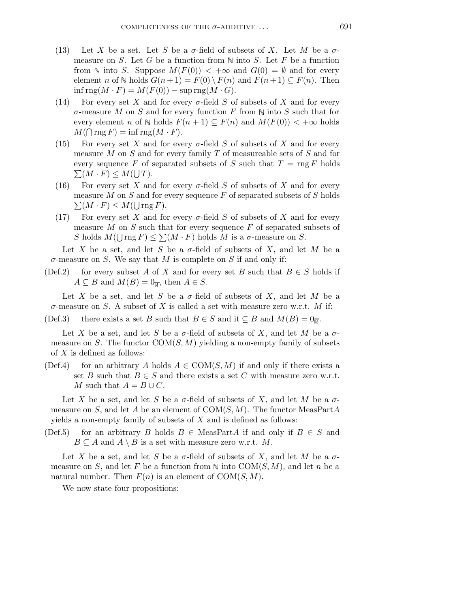- (13) Let X be a set. Let S be a  $\sigma$ -field of subsets of X. Let M be a  $\sigma$ measure on S. Let G be a function from  $\mathbb N$  into S. Let F be a function from N into S. Suppose  $M(F(0)) < +\infty$  and  $G(0) = \emptyset$  and for every element n of  $\mathbb N$  holds  $G(n+1) = F(0) \setminus F(n)$  and  $F(n+1) \subseteq F(n)$ . Then  $\inf \text{rng}(M \cdot F) = M(F(0)) - \sup \text{rng}(M \cdot G).$
- (14) For every set X and for every  $\sigma$ -field S of subsets of X and for every  $\sigma$ -measure M on S and for every function F from N into S such that for every element n of  $\mathbb N$  holds  $F(n + 1) \subseteq F(n)$  and  $M(F(0)) < +\infty$  holds  $M(\bigcap \text{rng } F) = \inf \text{rng}(M \cdot F).$
- (15) For every set X and for every  $\sigma$ -field S of subsets of X and for every measure M on S and for every family T of measureable sets of S and for every sequence F of separated subsets of S such that  $T = \text{rng } F$  holds  $\sum (M \cdot F) \leq M(\bigcup T).$
- (16) For every set X and for every  $\sigma$ -field S of subsets of X and for every measure  $M$  on  $S$  and for every sequence  $F$  of separated subsets of  $S$  holds  $\sum (M \cdot F) \leq M(\bigcup \operatorname{rng} F).$
- (17) For every set X and for every  $\sigma$ -field S of subsets of X and for every measure  $M$  on  $S$  such that for every sequence  $F$  of separated subsets of S holds  $M(\bigcup_{i} \text{rng } F) \leq \sum (M \cdot F)$  holds M is a  $\sigma$ -measure on S.

Let X be a set, and let S be a  $\sigma$ -field of subsets of X, and let M be a  $\sigma$ -measure on S. We say that M is complete on S if and only if:

(Def.2) for every subset A of X and for every set B such that  $B \in S$  holds if  $A \subseteq B$  and  $M(B) = 0_{\overline{R}}$ , then  $A \in S$ .

Let X be a set, and let S be a  $\sigma$ -field of subsets of X, and let M be a  $\sigma$ -measure on S. A subset of X is called a set with measure zero w.r.t. M if:

(Def.3) there exists a set B such that  $B \in S$  and it  $\subseteq B$  and  $M(B) = 0$ .

Let X be a set, and let S be a  $\sigma$ -field of subsets of X, and let M be a  $\sigma$ measure on S. The functor  $COM(S, M)$  yielding a non-empty family of subsets of  $X$  is defined as follows:

(Def.4) for an arbitrary A holds  $A \in \text{COM}(S, M)$  if and only if there exists a set B such that  $B \in S$  and there exists a set C with measure zero w.r.t. M such that  $A = B \cup C$ .

Let X be a set, and let S be a  $\sigma$ -field of subsets of X, and let M be a  $\sigma$ measure on S, and let A be an element of  $COM(S, M)$ . The functor MeasPartA yields a non-empty family of subsets of  $X$  and is defined as follows:

(Def.5) for an arbitrary B holds  $B \in \text{MeasPart}A$  if and only if  $B \in S$  and  $B \subseteq A$  and  $A \setminus B$  is a set with measure zero w.r.t. M.

Let X be a set, and let S be a  $\sigma$ -field of subsets of X, and let M be a  $\sigma$ measure on S, and let F be a function from  $\mathbb N$  into COM $(S, M)$ , and let n be a natural number. Then  $F(n)$  is an element of  $COM(S, M)$ .

We now state four propositions: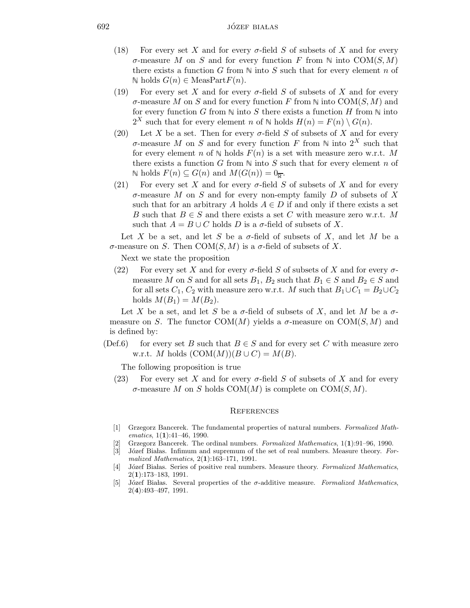- (18) For every set X and for every  $\sigma$ -field S of subsets of X and for every σ-measure M on S and for every function F from N into COM(S, M) there exists a function G from  $\mathbb N$  into S such that for every element n of N holds  $G(n)$  ∈ MeasPart $F(n)$ .
- (19) For every set X and for every  $\sigma$ -field S of subsets of X and for every  $\sigma$ -measure M on S and for every function F from N into COM(S, M) and for every function G from  $\mathbb N$  into S there exists a function H from  $\mathbb N$  into  $2^X$  such that for every element n of N holds  $H(n) = F(n) \setminus G(n)$ .
- (20) Let X be a set. Then for every  $\sigma$ -field S of subsets of X and for every σ-measure M on S and for every function F from N into  $2^X$  such that for every element n of  $\mathbb N$  holds  $F(n)$  is a set with measure zero w.r.t. M there exists a function G from  $\mathbb N$  into S such that for every element n of N holds  $F(n)$  ⊆  $G(n)$  and  $M(G(n)) = 0$ <sub>0</sub>.
- (21) For every set X and for every  $\sigma$ -field S of subsets of X and for every  $\sigma$ -measure M on S and for every non-empty family D of subsets of X such that for an arbitrary A holds  $A \in D$  if and only if there exists a set B such that  $B \in S$  and there exists a set C with measure zero w.r.t. M such that  $A = B \cup C$  holds D is a  $\sigma$ -field of subsets of X.

Let X be a set, and let S be a  $\sigma$ -field of subsets of X, and let M be a σ-measure on S. Then COM(S, M) is a σ-field of subsets of X.

Next we state the proposition

(22) For every set X and for every  $\sigma$ -field S of subsets of X and for every  $\sigma$ measure M on S and for all sets  $B_1$ ,  $B_2$  such that  $B_1 \in S$  and  $B_2 \in S$  and for all sets  $C_1$ ,  $C_2$  with measure zero w.r.t. M such that  $B_1 \cup C_1 = B_2 \cup C_2$ holds  $M(B_1) = M(B_2)$ .

Let X be a set, and let S be a  $\sigma$ -field of subsets of X, and let M be a  $\sigma$ measure on S. The functor COM(M) yields a  $\sigma$ -measure on COM(S, M) and is defined by:

(Def.6) for every set B such that  $B \in S$  and for every set C with measure zero w.r.t. M holds  $(COM(M))(B\cup C) = M(B)$ .

The following proposition is true

(23) For every set X and for every  $\sigma$ -field S of subsets of X and for every  $\sigma$ -measure M on S holds COM(M) is complete on COM(S, M).

## **REFERENCES**

- [1] Grzegorz Bancerek. The fundamental properties of natural numbers. Formalized Mathematics,  $1(1):41-46$ , 1990.
- [2] Grzegorz Bancerek. The ordinal numbers. Formalized Mathematics, 1(1):91–96, 1990.
- [3] Józef Białas. Infimum and supremum of the set of real numbers. Measure theory. Formalized Mathematics, 2(1):163–171, 1991.
- [4] Józef Białas. Series of positive real numbers. Measure theory. Formalized Mathematics, 2(1):173–183, 1991.
- [5] Józef Białas. Several properties of the  $\sigma$ -additive measure. Formalized Mathematics, 2(4):493–497, 1991.